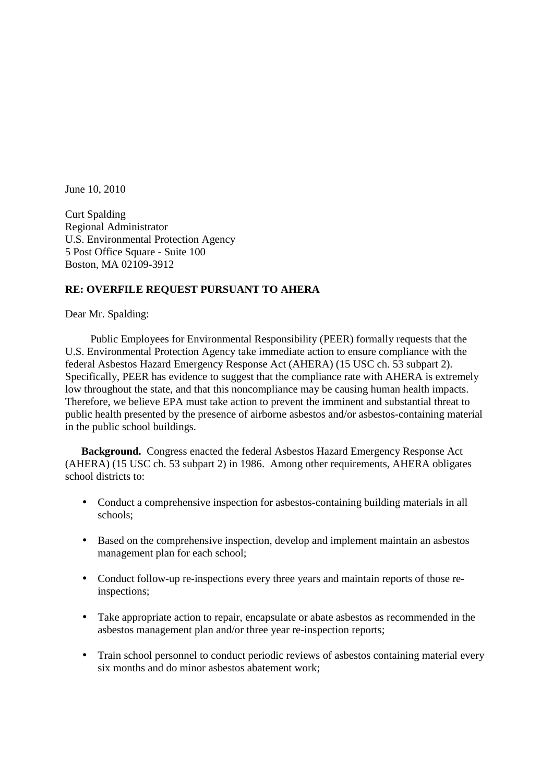June 10, 2010

Curt Spalding Regional Administrator U.S. Environmental Protection Agency 5 Post Office Square - Suite 100 Boston, MA 02109-3912

## **RE: OVERFILE REQUEST PURSUANT TO AHERA**

Dear Mr. Spalding:

 Public Employees for Environmental Responsibility (PEER) formally requests that the U.S. Environmental Protection Agency take immediate action to ensure compliance with the federal Asbestos Hazard Emergency Response Act (AHERA) (15 USC ch. 53 subpart 2). Specifically, PEER has evidence to suggest that the compliance rate with AHERA is extremely low throughout the state, and that this noncompliance may be causing human health impacts. Therefore, we believe EPA must take action to prevent the imminent and substantial threat to public health presented by the presence of airborne asbestos and/or asbestos-containing material in the public school buildings.

**Background.** Congress enacted the federal Asbestos Hazard Emergency Response Act (AHERA) (15 USC ch. 53 subpart 2) in 1986. Among other requirements, AHERA obligates school districts to:

- Conduct a comprehensive inspection for asbestos-containing building materials in all schools;
- Based on the comprehensive inspection, develop and implement maintain an asbestos management plan for each school;
- Conduct follow-up re-inspections every three years and maintain reports of those reinspections;
- Take appropriate action to repair, encapsulate or abate asbestos as recommended in the asbestos management plan and/or three year re-inspection reports;
- Train school personnel to conduct periodic reviews of asbestos containing material every six months and do minor asbestos abatement work;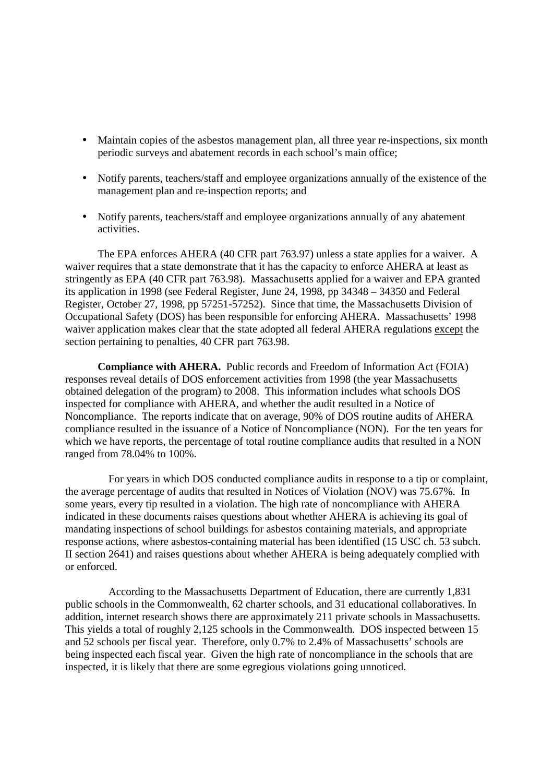- Maintain copies of the asbestos management plan, all three year re-inspections, six month periodic surveys and abatement records in each school's main office;
- Notify parents, teachers/staff and employee organizations annually of the existence of the management plan and re-inspection reports; and
- Notify parents, teachers/staff and employee organizations annually of any abatement activities.

The EPA enforces AHERA (40 CFR part 763.97) unless a state applies for a waiver. A waiver requires that a state demonstrate that it has the capacity to enforce AHERA at least as stringently as EPA (40 CFR part 763.98). Massachusetts applied for a waiver and EPA granted its application in 1998 (see Federal Register, June 24, 1998, pp 34348 – 34350 and Federal Register, October 27, 1998, pp 57251-57252). Since that time, the Massachusetts Division of Occupational Safety (DOS) has been responsible for enforcing AHERA. Massachusetts' 1998 waiver application makes clear that the state adopted all federal AHERA regulations except the section pertaining to penalties, 40 CFR part 763.98.

**Compliance with AHERA.** Public records and Freedom of Information Act (FOIA) responses reveal details of DOS enforcement activities from 1998 (the year Massachusetts obtained delegation of the program) to 2008. This information includes what schools DOS inspected for compliance with AHERA, and whether the audit resulted in a Notice of Noncompliance. The reports indicate that on average, 90% of DOS routine audits of AHERA compliance resulted in the issuance of a Notice of Noncompliance (NON). For the ten years for which we have reports, the percentage of total routine compliance audits that resulted in a NON ranged from 78.04% to 100%.

For years in which DOS conducted compliance audits in response to a tip or complaint, the average percentage of audits that resulted in Notices of Violation (NOV) was 75.67%. In some years, every tip resulted in a violation. The high rate of noncompliance with AHERA indicated in these documents raises questions about whether AHERA is achieving its goal of mandating inspections of school buildings for asbestos containing materials, and appropriate response actions, where asbestos-containing material has been identified (15 USC ch. 53 subch. II section 2641) and raises questions about whether AHERA is being adequately complied with or enforced.

According to the Massachusetts Department of Education, there are currently 1,831 public schools in the Commonwealth, 62 charter schools, and 31 educational collaboratives. In addition, internet research shows there are approximately 211 private schools in Massachusetts. This yields a total of roughly 2,125 schools in the Commonwealth. DOS inspected between 15 and 52 schools per fiscal year. Therefore, only 0.7% to 2.4% of Massachusetts' schools are being inspected each fiscal year. Given the high rate of noncompliance in the schools that are inspected, it is likely that there are some egregious violations going unnoticed.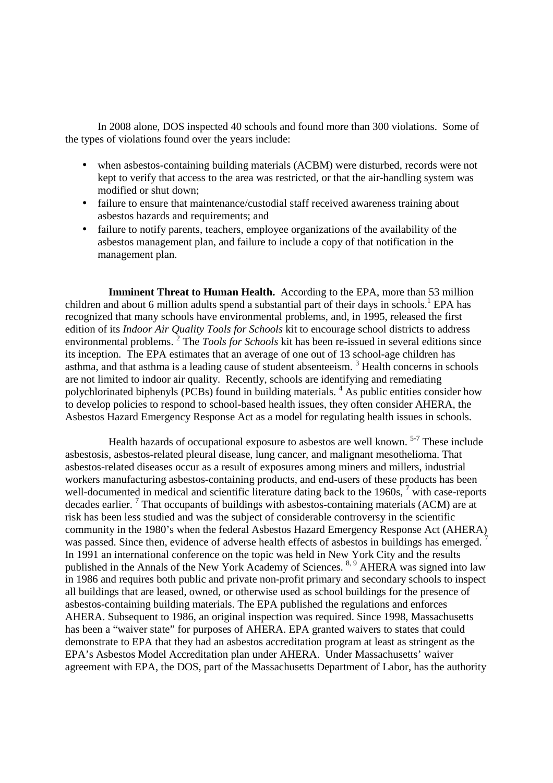In 2008 alone, DOS inspected 40 schools and found more than 300 violations. Some of the types of violations found over the years include:

- when asbestos-containing building materials (ACBM) were disturbed, records were not kept to verify that access to the area was restricted, or that the air-handling system was modified or shut down;
- failure to ensure that maintenance/custodial staff received awareness training about asbestos hazards and requirements; and
- failure to notify parents, teachers, employee organizations of the availability of the asbestos management plan, and failure to include a copy of that notification in the management plan.

**Imminent Threat to Human Health.** According to the EPA, more than 53 million children and about 6 million adults spend a substantial part of their days in schools.<sup>1</sup> EPA has recognized that many schools have environmental problems, and, in 1995, released the first edition of its *Indoor Air Quality Tools for Schools* kit to encourage school districts to address environmental problems.<sup>2</sup> The *Tools for Schools* kit has been re-issued in several editions since its inception. The EPA estimates that an average of one out of 13 school-age children has asthma, and that asthma is a leading cause of student absenteeism.<sup>3</sup> Health concerns in schools are not limited to indoor air quality. Recently, schools are identifying and remediating polychlorinated biphenyls (PCBs) found in building materials. <sup>4</sup> As public entities consider how to develop policies to respond to school-based health issues, they often consider AHERA, the Asbestos Hazard Emergency Response Act as a model for regulating health issues in schools.

Health hazards of occupational exposure to asbestos are well known. <sup>5-7</sup> These include asbestosis, asbestos-related pleural disease, lung cancer, and malignant mesothelioma. That asbestos-related diseases occur as a result of exposures among miners and millers, industrial workers manufacturing asbestos-containing products, and end-users of these products has been well-documented in medical and scientific literature dating back to the 1960s, <sup>7</sup> with case-reports decades earlier.<sup>7</sup> That occupants of buildings with asbestos-containing materials (ACM) are at risk has been less studied and was the subject of considerable controversy in the scientific community in the 1980's when the federal Asbestos Hazard Emergency Response Act (AHERA) was passed. Since then, evidence of adverse health effects of asbestos in buildings has emerged. <sup>7</sup> In 1991 an international conference on the topic was held in New York City and the results published in the Annals of the New York Academy of Sciences.<sup>8, 9</sup> AHERA was signed into law in 1986 and requires both public and private non-profit primary and secondary schools to inspect all buildings that are leased, owned, or otherwise used as school buildings for the presence of asbestos-containing building materials. The EPA published the regulations and enforces AHERA. Subsequent to 1986, an original inspection was required. Since 1998, Massachusetts has been a "waiver state" for purposes of AHERA. EPA granted waivers to states that could demonstrate to EPA that they had an asbestos accreditation program at least as stringent as the EPA's Asbestos Model Accreditation plan under AHERA. Under Massachusetts' waiver agreement with EPA, the DOS, part of the Massachusetts Department of Labor, has the authority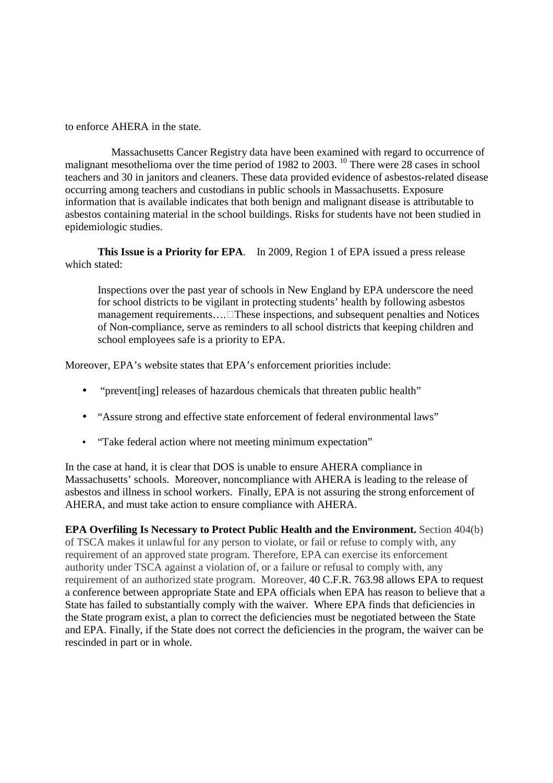to enforce AHERA in the state.

 Massachusetts Cancer Registry data have been examined with regard to occurrence of malignant mesothelioma over the time period of 1982 to 2003. <sup>10</sup> There were 28 cases in school teachers and 30 in janitors and cleaners. These data provided evidence of asbestos-related disease occurring among teachers and custodians in public schools in Massachusetts. Exposure information that is available indicates that both benign and malignant disease is attributable to asbestos containing material in the school buildings. Risks for students have not been studied in epidemiologic studies.

**This Issue is a Priority for EPA**. In 2009, Region 1 of EPA issued a press release which stated:

Inspections over the past year of schools in New England by EPA underscore the need for school districts to be vigilant in protecting students' health by following asbestos management requirements.... These inspections, and subsequent penalties and Notices of Non-compliance, serve as reminders to all school districts that keeping children and school employees safe is a priority to EPA.

Moreover, EPA's website states that EPA's enforcement priorities include:

- "prevent[ing] releases of hazardous chemicals that threaten public health"
- "Assure strong and effective state enforcement of federal environmental laws"
- "Take federal action where not meeting minimum expectation"

In the case at hand, it is clear that DOS is unable to ensure AHERA compliance in Massachusetts' schools. Moreover, noncompliance with AHERA is leading to the release of asbestos and illness in school workers. Finally, EPA is not assuring the strong enforcement of AHERA, and must take action to ensure compliance with AHERA.

**EPA Overfiling Is Necessary to Protect Public Health and the Environment.** Section 404(b) of TSCA makes it unlawful for any person to violate, or fail or refuse to comply with, any requirement of an approved state program. Therefore, EPA can exercise its enforcement authority under TSCA against a violation of, or a failure or refusal to comply with, any requirement of an authorized state program. Moreover, 40 C.F.R. 763.98 allows EPA to request a conference between appropriate State and EPA officials when EPA has reason to believe that a State has failed to substantially comply with the waiver. Where EPA finds that deficiencies in the State program exist, a plan to correct the deficiencies must be negotiated between the State and EPA. Finally, if the State does not correct the deficiencies in the program, the waiver can be rescinded in part or in whole.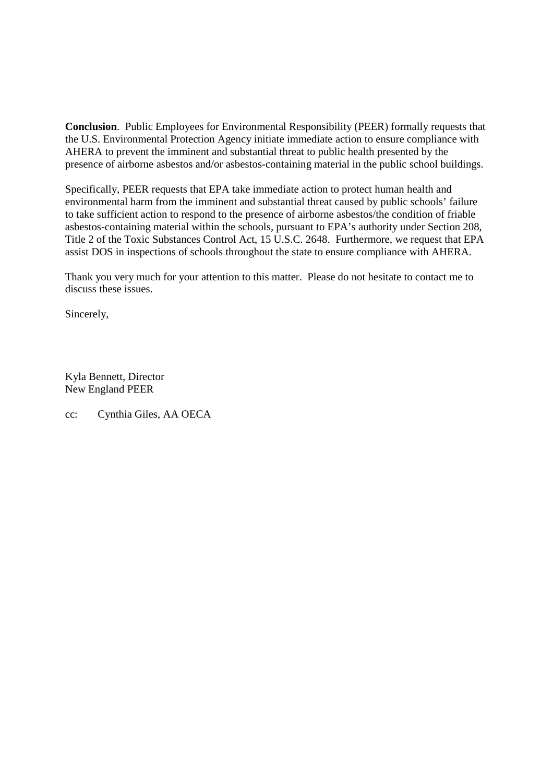**Conclusion**. Public Employees for Environmental Responsibility (PEER) formally requests that the U.S. Environmental Protection Agency initiate immediate action to ensure compliance with AHERA to prevent the imminent and substantial threat to public health presented by the presence of airborne asbestos and/or asbestos-containing material in the public school buildings.

Specifically, PEER requests that EPA take immediate action to protect human health and environmental harm from the imminent and substantial threat caused by public schools' failure to take sufficient action to respond to the presence of airborne asbestos/the condition of friable asbestos-containing material within the schools, pursuant to EPA's authority under Section 208, Title 2 of the Toxic Substances Control Act, 15 U.S.C. 2648. Furthermore, we request that EPA assist DOS in inspections of schools throughout the state to ensure compliance with AHERA.

Thank you very much for your attention to this matter. Please do not hesitate to contact me to discuss these issues.

Sincerely,

Kyla Bennett, Director New England PEER

cc: Cynthia Giles, AA OECA